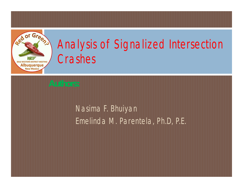

# Analysis of Signalized Intersection Crashes

#### Nasima F. Bhuiyan Emelinda M. Parentela, Ph.D, P.E.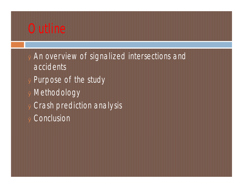### **Outline**

- <sup>Ø</sup> An overview of signalized intersections and accidents
- <sup>Ø</sup> Purpose of the study
- <sup>Ø</sup> Methodology
- <sup>Ø</sup> Crash prediction analysis
- <sup>Ø</sup> Conclusion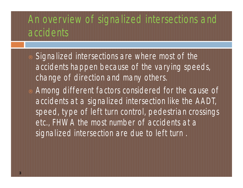#### An overview of signalized intersections and accidents

- Signalized intersections are where most of the accidents happen because of the varying speeds, change of direction and many others.
- Among different factors considered for the cause of accidents at a signalized intersection like the AADT, speed, type of left turn control, pedestrian crossings etc., FHWA the most number of accidents at a signalized intersection are due to left turn .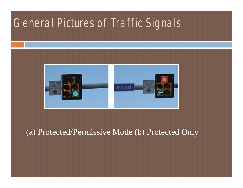## General Pictures of Traffic Signals



#### (a) Protected/Permissive Mode (b) Protected Only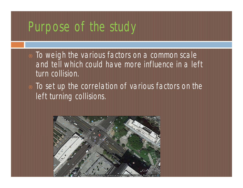# Purpose of the study

- To weigh the various factors on a common scale and tell which could have more influence in a left turn collision.
- To set up the correlation of various factors on the left turning collisions.

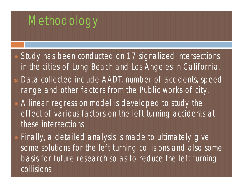# Methodology

- Study has been conducted on 17 signalized intersections in the cities of Long Beach and Los Angeles in California. Data collected include AADT, number of accidents, speed range and other factors from the Public works of city. A linear regression model is developed to study the
	- effect of various factors on the left turning accidents at these intersections.
- Finally, a detailed analysis is made to ultimately give some solutions for the left turning collisions and also some basis for future research so as to reduce the left turning collisions.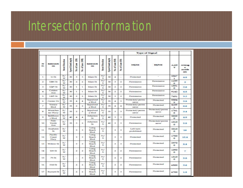# Intersection information

|                          |                         |                        |                          |                         | 園<br>of Lane (WB)<br>ź | Intersecti<br>on.         |                         |                   |                         |                   | Type of Signal           |                          |                    |                              |
|--------------------------|-------------------------|------------------------|--------------------------|-------------------------|------------------------|---------------------------|-------------------------|-------------------|-------------------------|-------------------|--------------------------|--------------------------|--------------------|------------------------------|
| N<br>$\circ$             | Intersecti<br>on.       | <b>Stret Direction</b> | <b>Speed Limit</b> (mph) | No. of Lane             |                        |                           | <b>Street Direction</b> | Speed Limit (mph) | No. of Lane (NB)        | of Lane (SB)<br>乡 | NB/SB                    | <b>EE/WB</b>             | AAD<br>т           | Averag<br>٠<br>Accide<br>nts |
| 1                        | $1 + St$                | E/<br>W                | 30                       | 3                       | 3                      | Main St                   | N/<br>s                 | 30                | 4                       |                   | Protected                | w                        | 2367<br>ı          | 4.8                          |
| $\overline{z}$           | 1084 St                 | E/<br>w                | 30                       | $\overline{\mathbf{z}}$ | $\overline{z}$         | Main St                   | N/<br>s                 | 30                | 3.                      | $\overline{2}$    | Permissive               | Permissive               | 1159<br>6          | з                            |
| 3                        | $104th$ St              | E/<br>w                | 30                       | $\mathbf{I}$            | ı                      | Main St                   | N/<br>s                 | 30                | $\overline{\mathbf{2}}$ | $\mathbf{z}$      | Permissive               | Plermássi ve             | 1331<br>$\circ$    | 2.6                          |
| 4                        | Colden<br>Ave           | E/<br>w                | 30                       | ĩ                       | $\mathbbm{1}$          | Main St                   | N/<br>s                 | 30                | $\overline{2}$          | $\mathfrak{D}$    | Permissive               | <b>Permissive</b>        | 9142               | 48                           |
| 5                        | $120^{\pm}$ St          | E/<br>w                | 30                       | $\overline{2}$          | ž                      | Main St                   | N/<br>s                 | 30                | 3                       | ż                 | Permissive               | Permissive               | 7631               | 32                           |
| 6                        | Center Dr               | E/<br>w                | 35                       | 4                       | 4                      | Sepulved<br>a Blvd        | N/<br>s                 | 35                | 4                       | 3.                | Protected/permi<br>ssive | Protected                | 5504<br>۰          | 3.8                          |
| $\overline{\mathcal{F}}$ | Venice<br>Blvd          | E/<br>w                | 35                       | $\overline{2}$          | z                      | Sepulved<br>a Blyd        | N/<br>s                 | 35                | 4                       | $\mathbf{4}$      | Protected/permi<br>ssive | Protected                | 4105<br>1          | 6.6                          |
| $\approx$                | Westches<br>ter Plowy   | E/<br>w                | 35                       | $\mathbf{r}$            | 3                      | Sepulved<br>a blvd        | N/<br>s                 | 35                | з                       | 含                 | Protected/permi<br>ssive | Protected/permi<br>ssive | 1761<br>s          | 3.4                          |
| ۰                        | Bellflowe<br>r Blvd     | E/<br>w                | 40                       | 4                       | 4                      | Atherton<br>$\mathbf{St}$ | N/<br>s                 | 40                | $\overline{\mathbf{3}}$ | 3                 | Protected                | Protected                | 2020<br>$\circ$    | 4B                           |
| 10                       | Palo<br>Verde<br>Ave    | E/<br>w                | 35                       | з.                      | 2                      | Atherton<br>St            | N/<br>s                 | 40                | з                       | 3                 | Permissive               | Protected/permi<br>ssive | 1010<br>$\circ$    | 5.8                          |
| 11                       | Anaheim<br>$\leq$       | E/<br>w                |                          | 3.                      | 3                      | Long<br>Beach<br>Blvd     | N/<br>s                 |                   | 3                       | 含                 | Left turn<br>prohibited  | Protected                | 2010<br>$\bullet$  | 16                           |
| 12                       | Pacific<br>Coast<br>Hwy | E/<br>w                |                          | 3                       | 3                      | Long<br>Beach<br>Blvd     | N/<br>s                 |                   | э                       | 3                 | Protected                | Protected                | 1780<br>$^{\circ}$ | 15.4                         |
| 33                       | Willow St               | E<br>w                 |                          | 3                       | 3                      | Long<br>Beach<br>Blvd     | N/<br>s                 |                   | 3                       | 3                 | Protected                | Protected                | 2970<br>$\Omega$   | 8.4                          |
| 14                       | 10 <sup>e</sup> St      | E/<br>w                |                          | $\mathfrak{p}$          | $\overline{2}$         | Long<br>Beach<br>Blvd     | N/<br>s                 |                   | $\overline{2}$          | $\mathfrak{D}$    | Permissive               | Protected                | 1090<br>$\circ$    | 7                            |
| 15                       | 76.58                   | E/<br>w                |                          | $\sim$                  | 3                      | Long<br>Beach<br>Blvd     | N/<br>s                 |                   | $\mathbf{z}$            | $\mathfrak{D}$    | Permissive               | Protected                | 1310<br>o          | 5.8                          |
| 16                       | <b>Hill St</b>          | E/<br>w                |                          | 2                       | 2                      | Long<br>Beach<br>Blyd     | N/<br>s                 |                   | $\overline{\mathbf{z}}$ | $\mathbf{z}$      | Permissive               | Protected                | 6500               | 3.6                          |
| 17                       | <b>Burnett St</b>       | Έf<br>w                |                          | $\mathbf{z}$            | 2                      | Long<br>Beach<br>Blvd     | N/<br>s                 |                   | 3                       | 3                 | Permissive               | Protected                | 6700               | 1.8                          |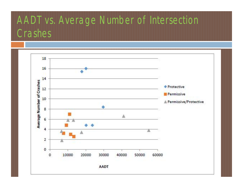### AADT vs. Average Number of Intersection Crashes

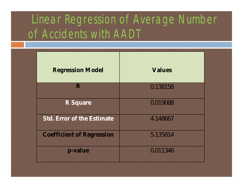# Linear Regression of Average Number of Accidents with AADT

| <b>Regression Model</b>          | Values   |
|----------------------------------|----------|
| R                                | 0.138158 |
| R Square                         | 0.019088 |
| Std. Error of the Estimate       | 4.148667 |
| <b>Coefficient of Regression</b> | 5.135814 |
| p-value                          | 0.011346 |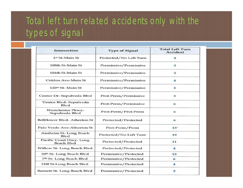#### Total left turn related accidents only with the types of signal

| <b>Intersection</b>                                | <b>Type of Signal</b>  | <b>Total Left Turn</b><br>Accident |  |  |
|----------------------------------------------------|------------------------|------------------------------------|--|--|
| 1st St-Main St                                     | Protected/No Left Turn | 4                                  |  |  |
| 108th St-Main St                                   | Permissive/Permissive  | 3                                  |  |  |
| 104th St-Main St                                   | Permissive/Permissive  | 3                                  |  |  |
| Colden Ave-Main St                                 | Permissive/Permissive  | 4                                  |  |  |
| 120th St-Main St                                   | Permissive/Permissive  | 3                                  |  |  |
| Center Dr-Sepulveda Blvd                           | Prot-Perm/Permissive   | 3                                  |  |  |
| Venice Blvd-Sepulveda<br><b>Blyd</b>               | Prot-Perm/Permissive   | 6                                  |  |  |
| <b>Westchester Pkwy-</b><br>Sepulveda Blvd         | Prot-Perm/Prot-Perm    | 6                                  |  |  |
| <b>Bellflower Blvd-Atherton St</b>                 | Protected/Protected    | 6                                  |  |  |
| Palo Verde Ave-Atherton St                         | Prot-Perm/Perm         | $13-$                              |  |  |
| <b>Anaheim St-Long Beach</b><br>Blyd               | Protected/No Left Turn | 19                                 |  |  |
| <b>Pacific Coast Hwy-Long</b><br><b>Beach Blyd</b> | Protected/Protected    | 11                                 |  |  |
| Willow St-Long Beach Blvd                          | Protected/Protected    | 4                                  |  |  |
| 10th St-Long Beach Blvd                            | Permissive/Protected   | 13                                 |  |  |
| 7th St-Long Beach Blvd                             | Permissive/Protected   | 6                                  |  |  |
| Hill St-Long Beach Blvd                            | Permissive/Protected   | 4                                  |  |  |
| Burnett St-Long Beach Blvd                         | Permissive/Protected   | 3                                  |  |  |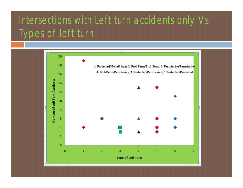### Intersections with Left turn accidents only Vs Types of left turn

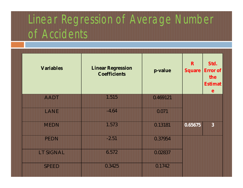# Linear Regression of Average Number of Accidents

| Variables    | <b>Linear Regression</b><br><b>Coefficients</b> | p-value  | R<br>Square | Std.<br>Error of<br>the<br>Estimat<br>$\mathbf{e}$ |
|--------------|-------------------------------------------------|----------|-------------|----------------------------------------------------|
| <b>AADT</b>  | 1.515                                           | 0.469121 |             |                                                    |
| LANE         | $-4.64$                                         | 0.071    |             |                                                    |
| <b>MEDN</b>  | 1.573                                           | 0.13181  | 0.65675     | $\overline{3}$                                     |
| <b>PEDN</b>  | $-2.51$                                         | 0.37954  |             |                                                    |
| LT SIGNAL    | 6.572                                           | 0.02837  |             |                                                    |
| <b>SPEED</b> | 0.3425                                          | 0.1742   |             |                                                    |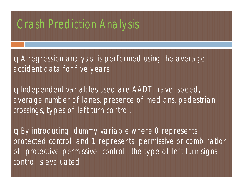#### **Crash Prediction Analysis**

qA regression analysis is performed using the average accident data for five years.

qIndependent variables used are AADT, travel speed, average number of lanes, presence of medians, pedestrian crossings, types of left turn control.

qBy introducing dummy variable where 0 represents protected control and 1 represents permissive or combination of protective-permissive control , the type of left turn signal control is evaluated.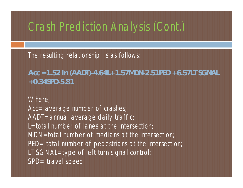#### Crash Prediction Analysis (Cont.)

The resulting relationship is as follows:

**Acc =1.52 ln** *(AADT)-***4.64***L+***1.57***MDN-***2.51***PED* **+6.57***LT SGNAL* **+0.34***SPD***-5.81**

Where, Acc= average number of crashes; AADT=annual average daily traffic; L=total number of lanes at the intersection; MDN=total number of medians at the intersection; PED= total number of pedestrians at the intersection; LT SGNAL=type of left turn signal control; SPD= travel speed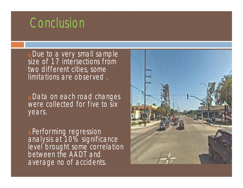# **Conclusion**

<sup>q</sup>Due to a very small sample size of 17 intersections from two different cities, some limitations are observed .

<sup>q</sup>Data on each road changes were collected for five to six years.

<sup>q</sup>Performing regression analysis at 10% significance level brought some correlation between the AADT and average no of accidents.

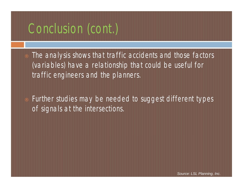# Conclusion (cont.)

The analysis shows that traffic accidents and those factors (variables) have a relationship that could be useful for traffic engineers and the planners.

Further studies may be needed to suggest different types of signals at the intersections.